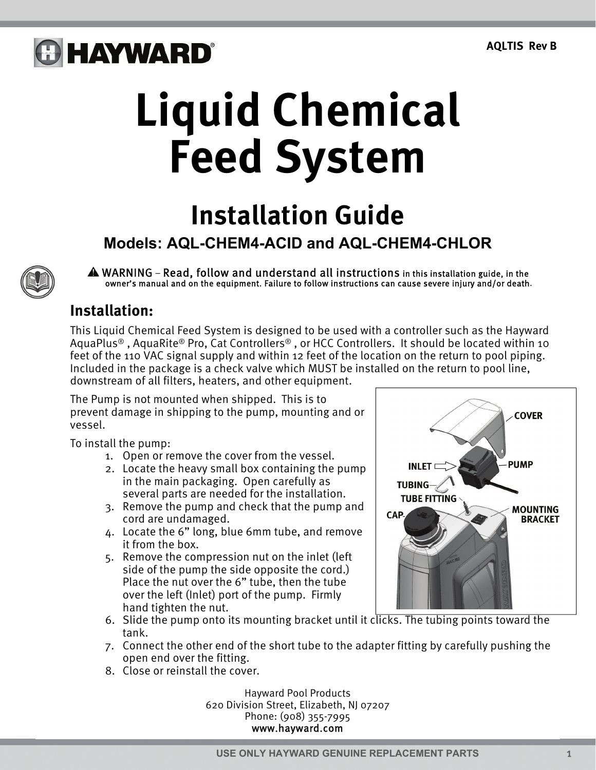## **G HAYWARD**®

# **Liquid Chemical Feed System**

### **Installation Guide**

### **Models: AQL-CHEM4-ACID and AQL-CHEM4-CHLOR**

WARNING – Read, follow and understand all instructions in this installation guide, in the owner's manual and on the equipment. Failure to follow instructions can cause severe injury and/or death.

#### **Installation:**

This Liquid Chemical Feed System is designed to be used with a controller such as the Hayward AquaPlus® , AquaRite® Pro, Cat Controllers® , or HCC Controllers. It should be located within 10 feet of the 110 VAC signal supply and within 12 feet of the location on the return to pool piping. Included in the package is a check valve which MUST be installed on the return to pool line, downstream of all filters, heaters, and other equipment.

The Pump is not mounted when shipped. This is to prevent damage in shipping to the pump, mounting and or vessel.

To install the pump:

- 1. Open or remove the cover from the vessel.
- 2. Locate the heavy small box containing the pump in the main packaging. Open carefully as several parts are needed for the installation.
- 3. Remove the pump and check that the pump and cord are undamaged.
- 4. Locate the 6" long, blue 6mm tube, and remove it from the box.
- 5. Remove the compression nut on the inlet (left side of the pump the side opposite the cord.) Place the nut over the 6" tube, then the tube over the left (Inlet) port of the pump. Firmly hand tighten the nut.



- 6. Slide the pump onto its mounting bracket until it clicks. The tubing points toward the tank.
- 7. Connect the other end of the short tube to the adapter fitting by carefully pushing the open end over the fitting.
- 8. Close or reinstall the cover.

 Hayward Pool Products 620 Division Street, Elizabeth, NJ 07207 Phone: (908) 355-7995 www.hayward.com